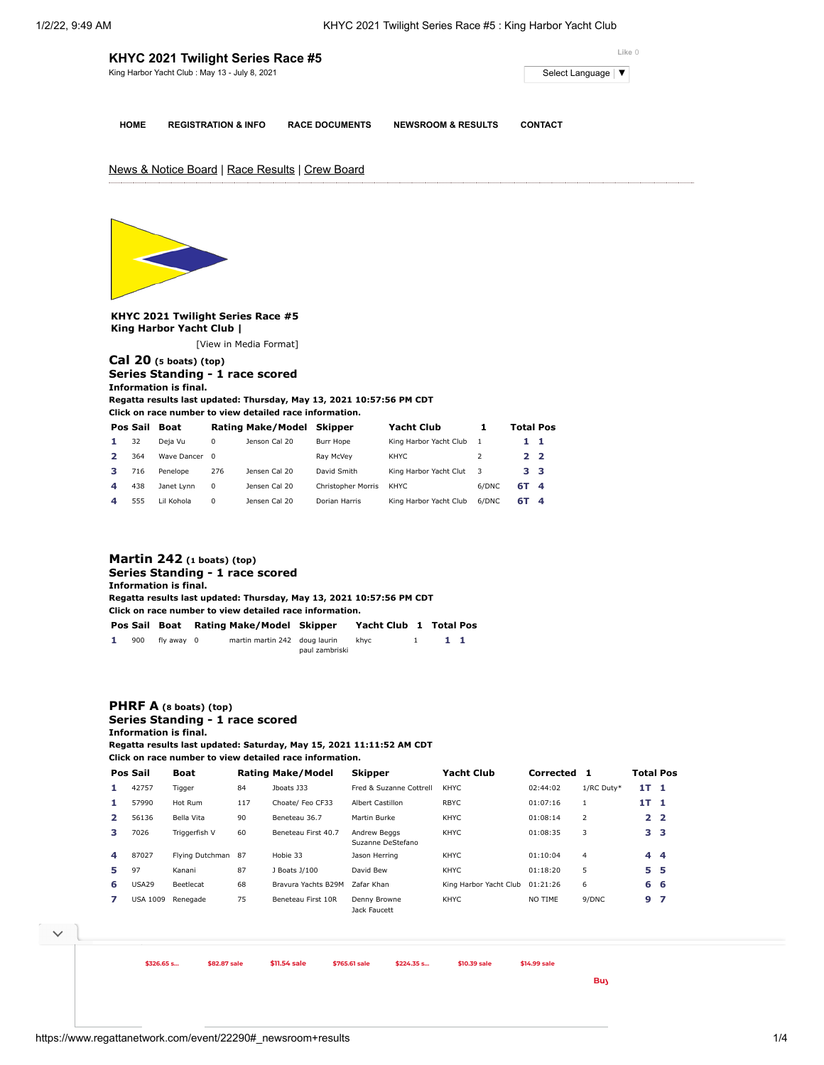| Select Language   ▼ |
|---------------------|
|                     |
|                     |

**HOME REGISTRATION & INFO RACE DOCUMENTS NEWSROOM & RESULTS CONTACT**

News & Notice Board | Race Results | Crew Board



**KHYC 2021 Twilight Series Race #5 King Harbor Yacht Club |**

[\[View in Media Format](https://www.regattanetwork.com/clubmgmt/applet_regatta_results.php?regatta_id=22290&show_manufacturer=1&show_crew=1&media_format=1)]

## **[Cal 20](https://www.regattanetwork.com/clubmgmt/applet_regatta_results.php?regatta_id=22290&show_manufacturer=1&show_crew=1&limit_fleet=Cal+20) (5 boats) (top) Series Standing - 1 race scored Information is final.**

**Regatta results last updated: Thursday, May 13, 2021 10:57:56 PM CDT**

**Click on race number to view detailed race information.**

|   | Pos Sail | <b>Boat</b> |          | <b>Rating Make/Model</b> | Skipper                   | <b>Yacht Club</b>      |       | <b>Total Pos</b> |  |
|---|----------|-------------|----------|--------------------------|---------------------------|------------------------|-------|------------------|--|
|   | 32       | Deja Vu     | 0        | Jenson Cal 20            | Burr Hope                 | King Harbor Yacht Club | -1    | 11               |  |
|   | 364      | Wave Dancer | $\Omega$ |                          | Rav McVev                 | KHYC.                  |       | 22               |  |
|   | 716      | Penelope    | 276      | Jensen Cal 20            | David Smith               | King Harbor Yacht Clut | - 3   | 33               |  |
| Δ | 438      | Janet Lynn  | $\Omega$ | Jensen Cal 20            | <b>Christopher Morris</b> | KHYC.                  | 6/DNC | 6T 4             |  |
| 4 | 555      | Lil Kohola  | $\Omega$ | Jensen Cal 20            | Dorian Harris             | King Harbor Yacht Club | 6/DNC | 6T 4             |  |

## **[Martin 242](https://www.regattanetwork.com/clubmgmt/applet_regatta_results.php?regatta_id=22290&show_manufacturer=1&show_crew=1&limit_fleet=Martin+242) (1 boats) (top) Series Standing - 1 race scored Information is final. Regatta results last updated: Thursday, May 13, 2021 10:57:56 PM CDT Click on race number to view detailed race information. Pos Sail Boat Rating Make/Model Skipper Yacht Club [1](https://www.regattanetwork.com/clubmgmt/applet_race_scores.php?regatta_id=22290&race_num=1&fleet=Martin+242&show_crew=1) Total Pos 1** 900 fly away 0 martin martin 242 doug laurin khyc 1 **1 1** paul zambriski

## **[PHRF A](https://www.regattanetwork.com/clubmgmt/applet_regatta_results.php?regatta_id=22290&show_manufacturer=1&show_crew=1&limit_fleet=PHRF+A) (8 boats) (top) Series Standing - 1 race scored Information is final.**

**Regatta results last updated: Saturday, May 15, 2021 11:11:52 AM CDT**

**Click on race number to view detailed race information.**

|   | Pos Sail        | <b>Boat</b>        |     | <b>Rating Make/Model</b> | <b>Skipper</b>                    | <b>Yacht Club</b>      | Corrected 1 |            | <b>Total Pos</b> |     |
|---|-----------------|--------------------|-----|--------------------------|-----------------------------------|------------------------|-------------|------------|------------------|-----|
| 1 | 42757           | Tigger             | 84  | Jboats J33               | Fred & Suzanne Cottrell           | <b>KHYC</b>            | 02:44:02    | 1/RC Duty* | 1T <sub>1</sub>  |     |
| 1 | 57990           | Hot Rum            | 117 | Choate/ Feo CF33         | <b>Albert Castillon</b>           | <b>RBYC</b>            | 01:07:16    | 1          | 1T <sub>1</sub>  |     |
| 2 | 56136           | Bella Vita         | 90  | Beneteau 36.7            | Martin Burke                      | KHYC                   | 01:08:14    | 2          | 2 <sub>2</sub>   |     |
| з | 7026            | Triggerfish V      | 60  | Beneteau First 40.7      | Andrew Beggs<br>Suzanne DeStefano | KHYC                   | 01:08:35    | 3          | 3 <sub>3</sub>   |     |
| 4 | 87027           | Flying Dutchman 87 |     | Hobie 33                 | Jason Herring                     | KHYC                   | 01:10:04    | 4          | $4\overline{4}$  |     |
| 5 | 97              | Kanani             | 87  | J Boats J/100            | David Bew                         | KHYC                   | 01:18:20    | 5          | 5.               | -5  |
| 6 | USA29           | Beetlecat          | 68  | Brayura Yachts B29M      | Zafar Khan                        | King Harbor Yacht Club | 01:21:26    | 6          | 6 6              |     |
|   | <b>USA 1009</b> | Renegade           | 75  | Beneteau First 10R       | Denny Browne<br>Jack Faucett      | <b>KHYC</b>            | NO TIME     | 9/DNC      | 9                | - 7 |

 $\vee$ 



**\$326.65 s... Physics CDM \$326.65 s… \$82.87 sale \$11.54 sale \$765.61 sale \$224.35 s… [\\$10.39](https://cat.da.us.criteo.com/m/delivery/ck.php?cppv=3&cpp=PEH6vDDAoQabBLXx37mBdwsyGc7hoZZXALUuLF2iuLOV27ssHBD0mFM7L0WdVAyptr13zixmvuI5DHNnmDxZ7th1l0fUw2mmWjhxGC7u74V8WRkaL_tZRuMAAknKQRT7cAFuqLFZTm058HZrMEY4CWR6_izaA0cx_-L5tWGz3xoX1yr35wlvH342dQOMCRv7Z5qgvrZxQqJLC4cMXSzskF-lwssjwJhmvq4ZbF3h9daJfeLfFmYlq_LYvyLaWUZUbM_97R3I3EWF0kiV1w5G3BTZTH0Ig2GNs4BuzTu1uA4JkjFADESTBrow3404yr3Q1Ikjmsdjhyhmy79FVX5BrPXxqcAhQ_7LpA4t3TyHx29jxWImcEJo3TaLY-XgJEpuyX7_cfy3GQ6kwE1TQUmE96slO3lWejp-gq8jYVbiEz7tcdSTqwf_OHwulqn5bzPZIPCvrMNjJh7i7a9PrPCbUFUz88aJ8lu4ecHDTmJSw2fLWAxkeybJ-zN-J4ILAUSkPYc0xA&maxdest=https%3A%2F%2Fwww.jcpenney.com%2Fp%2Fst-johns-bay-womens-v-neck-long-sleeve-pullover-sweater%2Fppr5008057960%3FpTmplType%3Dregular%26utm_source%3Dcriteo%26utm_medium%3Ddisplay%26utm_campaign%3Dlocalrepeatlapsed%26utm_content%3Dexd%28%22cat%22%29%26cid%3Ddisplay%7Ccriteo%7Cexd%28%22cat%22%29%7Clocalrepeatlapsed) sale [\\$14.99](https://cat.da.us.criteo.com/m/delivery/ck.php?cppv=3&cpp=X5psEjDAoQabBLXx37mBdwsyGc7hoZZXALUuLF2iuLOV27ssHBD0mFM7L0WdVAyptr13zixmvuI5DHNnmDxZ7th1l0fUw2mmWjhxGC7u74V8WRkaL_tZRuMAAknKQRT7cAFuqLFZTm058HZrMEY4CWR6_ixbEamiSp8tmrqNcoI4qjp7GJTvsuTi3AzrjwxR1DUImxGt3COULQXF1EYeapzIUR6dOJ6EcRkiAsoLLnyu_xE3siyY9LjGWGN6GAA6gf5KYpyspQ6RrHGc4yc4aP3UoPfLBhLJiPE4ClUQD81sn2PH1a8r-RwLUIjUA2ht-TVHMO-rKskYsiu2qW4a8S56DvN4a0Z7JgSXfyYoMWYL3DSTpqO3QGLy9mzLHX0mjhCGAmnQaytdoq8n8diVlwq0gtct_IuP-HcHX31g1GJGeHZHcrvD1XrujnXqcN68RKjGHpFUgtL9k1b5n8pNb2qxDvMe5k1iXy7DiVu9igoxvjbsbCliYd1mLyTXVu_vGGy6VA&maxdest=https%3A%2F%2Fwww.jcpenney.com%2Fp%2Famerican-outdoorsman-mens-stretch-hybrid-short-big-and-tall%2Fppr5007941524%3FpTmplType%3Dregular%26utm_source%3Dcriteo%26utm_medium%3Ddisplay%26utm_campaign%3Dlocalrepeatlapsed%26utm_content%3Dexd%28%22cat%22%29%26cid%3Ddisplay%7Ccriteo%7Cexd%28%22cat%22%29%7Clocalrepeatlapsed) sale**

**Buy Online and Pick Up Instore at**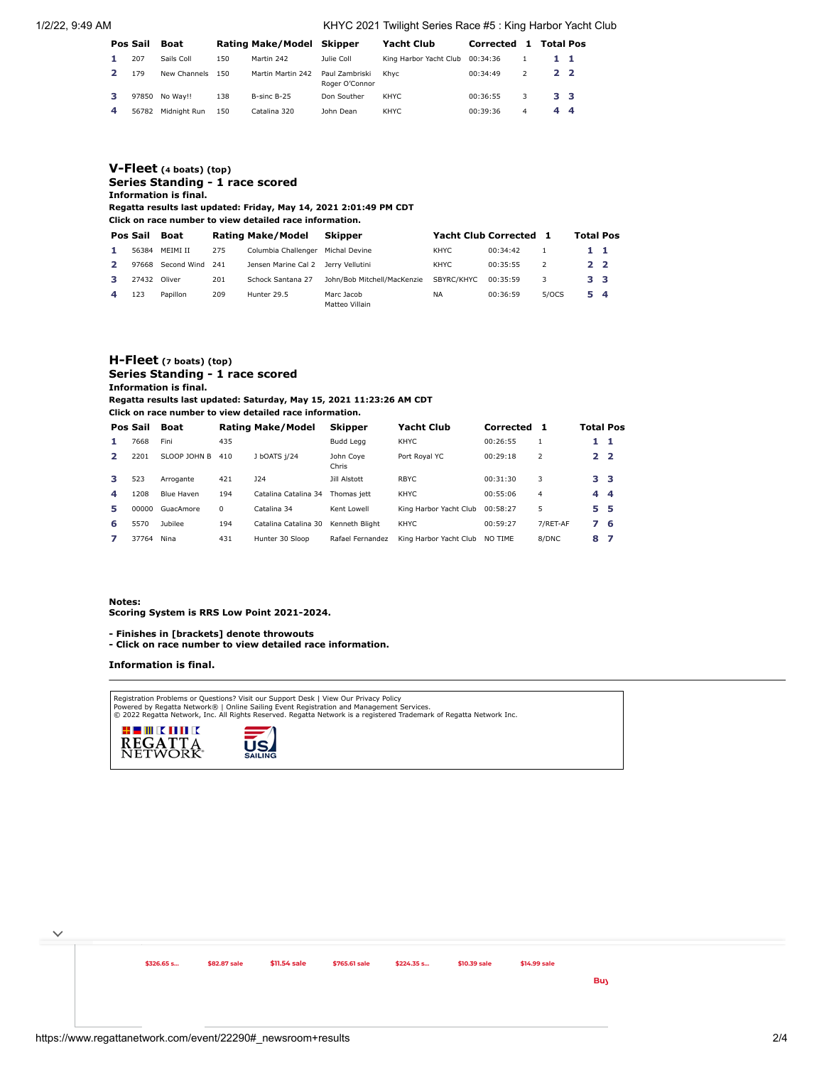1/2/22, 9:49 AM KHYC 2021 Twilight Series Race #5 : King Harbor Yacht Club

|   | Pos Sail | Boat             |     | Rating Make/Model Skipper |                                  | <b>Yacht Club</b>      | Corrected 1 |                          | <b>Total Pos</b> |  |
|---|----------|------------------|-----|---------------------------|----------------------------------|------------------------|-------------|--------------------------|------------------|--|
|   | 207      | Sails Coll       | 150 | Martin 242                | Julie Coll                       | King Harbor Yacht Club | 00:34:36    |                          | 11               |  |
|   | 179      | New Channels 150 |     | Martin Martin 242         | Paul Zambriski<br>Roger O'Connor | Khvc                   | 00:34:49    | $\overline{\phantom{a}}$ | 2 <sub>2</sub>   |  |
| з | 97850    | No Wav!!         | 138 | B-sinc B-25               | Don Souther                      | KHYC                   | 00:36:55    | 3                        | 3 <sub>3</sub>   |  |
| 4 | 56782    | Midnight Run     | 150 | Catalina 320              | John Dean                        | KHYC                   | 00:39:36    | 4                        | 44               |  |

# **[V-Fleet](https://www.regattanetwork.com/clubmgmt/applet_regatta_results.php?regatta_id=22290&show_manufacturer=1&show_crew=1&limit_fleet=V-Fleet) (4 boats) (top) Series Standing - 1 race scored Information is final.**

**Regatta results last updated: Friday, May 14, 2021 2:01:49 PM CDT Click on race number to view detailed race information.**

| Pos Sail | Boat        |       | <b>Rating Make/Model</b> | <b>Skipper</b>               |            | Yacht Club Corrected 1 |               | <b>Total Pos</b> |  |
|----------|-------------|-------|--------------------------|------------------------------|------------|------------------------|---------------|------------------|--|
| 56384    | MFIMI II    | 275   | Columbia Challenger      | Michal Devine                | KHYC.      | 00:34:42               |               | 11               |  |
| 97668    | Second Wind | - 241 | Jensen Marine Cal 2      | Jerry Vellutini              | KHYC.      | 00:35:55               | $\mathcal{P}$ | 2 <sub>2</sub>   |  |
| 27432    | Oliver      | 201   | Schock Santana 27        | John/Bob Mitchell/MacKenzie  | SBYRC/KHYC | 00:35:59               | 3             | 3 3              |  |
| 123      | Papillon    | 209   | Hunter 29.5              | Marc Jacob<br>Matteo Villain | <b>NA</b>  | 00:36:59               | 5/0CS         | 5 <sub>4</sub>   |  |

## **[H-Fleet](https://www.regattanetwork.com/clubmgmt/applet_regatta_results.php?regatta_id=22290&show_manufacturer=1&show_crew=1&limit_fleet=H-Fleet) (7 boats) (top) Series Standing - 1 race scored Information is final.**

**Regatta results last updated: Saturday, May 15, 2021 11:23:26 AM CDT**

**Click on race number to view detailed race information.**

|                | Pos Sail | Boat              |     | <b>Rating Make/Model</b> | <b>Skipper</b>     | Yacht Club             | Corrected | 1        | <b>Total Pos</b> |    |
|----------------|----------|-------------------|-----|--------------------------|--------------------|------------------------|-----------|----------|------------------|----|
|                | 7668     | Fini              | 435 |                          | <b>Budd Leag</b>   | <b>KHYC</b>            | 00:26:55  |          | $1\quad1$        |    |
| $\overline{2}$ | 2201     | SLOOP JOHN B      | 410 | J bOATS 1/24             | John Cove<br>Chris | Port Roval YC          | 00:29:18  | 2        | 2 <sub>2</sub>   |    |
| з.             | 523      | Arrogante         | 421 | 124                      | Jill Alstott       | RBYC.                  | 00:31:30  | 3        | 3 <sub>3</sub>   |    |
| 4              | 1208     | <b>Blue Haven</b> | 194 | Catalina Catalina 34     | Thomas iett        | <b>KHYC</b>            | 00:55:06  | 4        | $4\overline{4}$  |    |
| 5              | 00000    | GuacAmore         | 0   | Catalina 34              | Kent Lowell        | King Harbor Yacht Club | 00:58:27  | 5        | 5 5              |    |
| 6              | 5570     | <b>Jubilee</b>    | 194 | Catalina Catalina 30     | Kenneth Bliaht     | <b>KHYC</b>            | 00:59:27  | 7/RET-AF | 76               |    |
| 7              | 37764    | Nina              | 431 | Hunter 30 Sloop          | Rafael Fernandez   | King Harbor Yacht Club | NO TIME   | 8/DNC    | 8                | -7 |

**Notes:**

 $\checkmark$ 

**Scoring System is RRS Low Point 2021-2024.**

- **Finishes in [brackets] denote throwouts**
- **Click on race number to view detailed race information.**

#### **Information is final.**

Registration Problems or Questions? [Visit our Support Desk](http://support.regattanetwork.com/) | [View Our Privacy Policy](https://www.regattanetwork.com/html/privacy.html)<br>[Powered by Regatta Network®](http://www.regattanetwork.com/) | Online Sailing Event Registration and Management Services.<br>© 2022 [Regatta Network,](http://www.regattanetwork.com/) Inc. All Rights Reserved



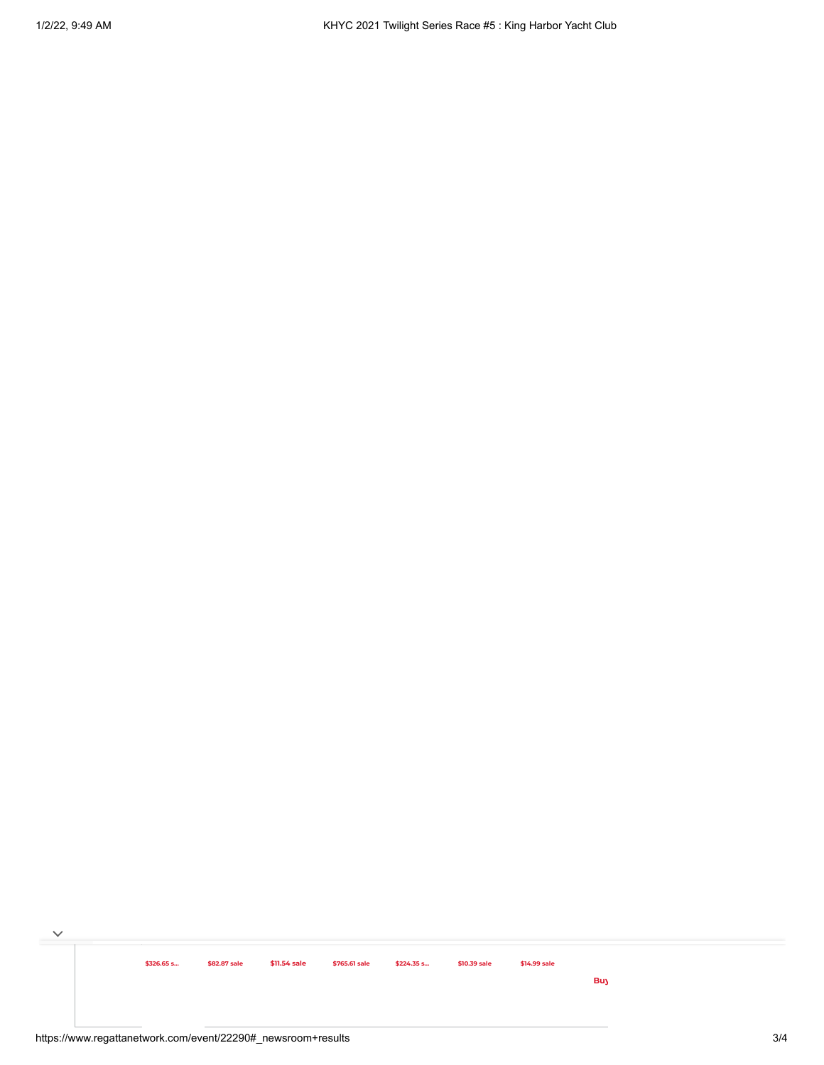